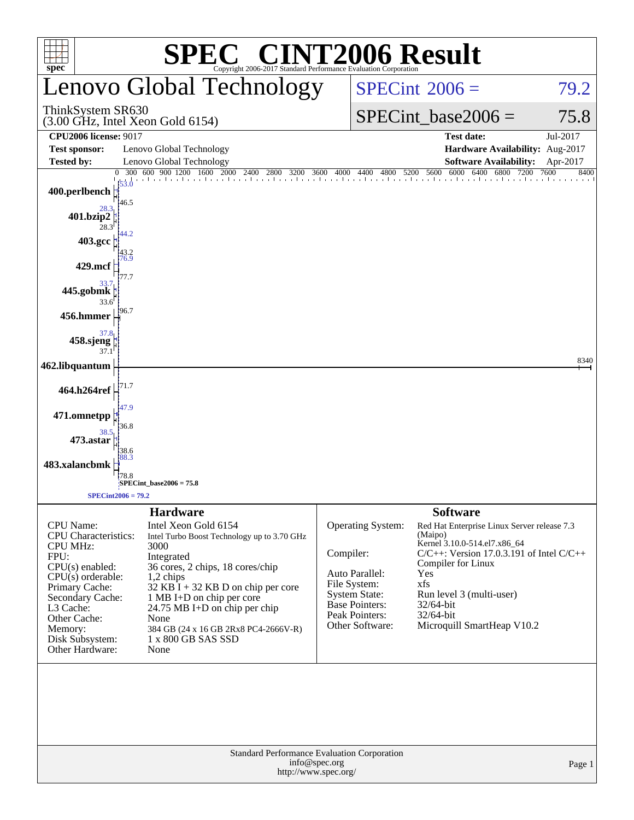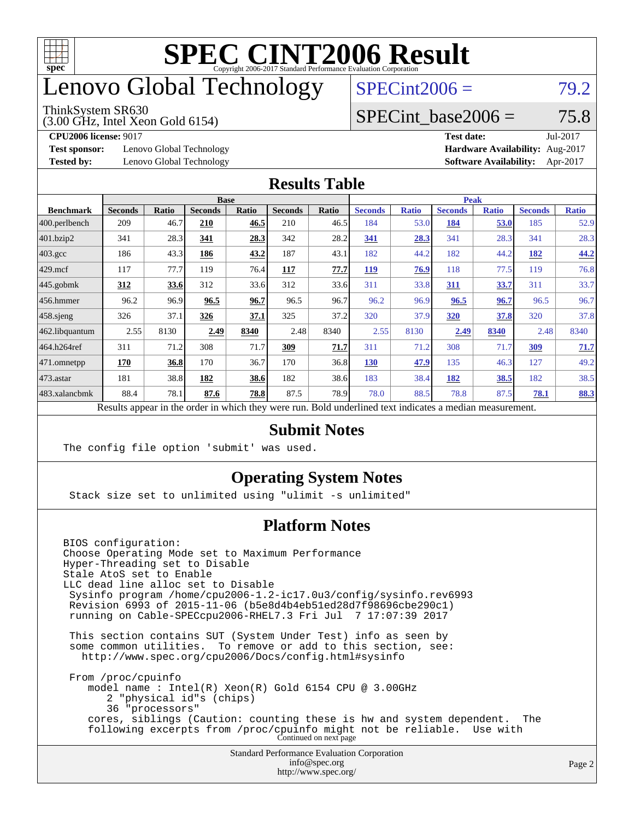

### enovo Global Technology

#### ThinkSystem SR630

(3.00 GHz, Intel Xeon Gold 6154)

 $SPECint2006 = 79.2$  $SPECint2006 = 79.2$ 

#### SPECint base2006 =  $75.8$

**[Test sponsor:](http://www.spec.org/auto/cpu2006/Docs/result-fields.html#Testsponsor)** Lenovo Global Technology **[Hardware Availability:](http://www.spec.org/auto/cpu2006/Docs/result-fields.html#HardwareAvailability)** Aug-2017

**[CPU2006 license:](http://www.spec.org/auto/cpu2006/Docs/result-fields.html#CPU2006license)** 9017 **[Test date:](http://www.spec.org/auto/cpu2006/Docs/result-fields.html#Testdate)** Jul-2017 **[Tested by:](http://www.spec.org/auto/cpu2006/Docs/result-fields.html#Testedby)** Lenovo Global Technology **[Software Availability:](http://www.spec.org/auto/cpu2006/Docs/result-fields.html#SoftwareAvailability)** Apr-2017

#### **[Results Table](http://www.spec.org/auto/cpu2006/Docs/result-fields.html#ResultsTable)**

|                                                                                                          |                |       | <b>Base</b>    |       |                |       | <b>Peak</b>    |              |                |              |                |              |
|----------------------------------------------------------------------------------------------------------|----------------|-------|----------------|-------|----------------|-------|----------------|--------------|----------------|--------------|----------------|--------------|
| <b>Benchmark</b>                                                                                         | <b>Seconds</b> | Ratio | <b>Seconds</b> | Ratio | <b>Seconds</b> | Ratio | <b>Seconds</b> | <b>Ratio</b> | <b>Seconds</b> | <b>Ratio</b> | <b>Seconds</b> | <b>Ratio</b> |
| 400.perlbench                                                                                            | 209            | 46.7  | 210            | 46.5  | 210            | 46.5  | 184            | 53.0         | 184            | 53.0         | 185            | 52.9         |
| 401.bzip2                                                                                                | 341            | 28.3  | 341            | 28.3  | 342            | 28.2  | 341            | 28.3         | 341            | 28.3         | 341            | 28.3         |
| $403.\text{gcc}$                                                                                         | 186            | 43.3  | 186            | 43.2  | 187            | 43.1  | 182            | 44.2         | 182            | 44.2         | 182            | 44.2         |
| $429$ .mcf                                                                                               | 117            | 77.7  | 119            | 76.4  | 117            | 77.7  | 119            | 76.9         | 118            | 77.5         | 119            | 76.8         |
| $445$ .gobmk                                                                                             | 312            | 33.6  | 312            | 33.6  | 312            | 33.6  | 311            | 33.8         | <b>311</b>     | 33.7         | 311            | 33.7         |
| $456.$ hmmer                                                                                             | 96.2           | 96.9  | 96.5           | 96.7  | 96.5           | 96.7  | 96.2           | 96.9         | 96.5           | 96.7         | 96.5           | 96.7         |
| $458$ .sjeng                                                                                             | 326            | 37.1  | 326            | 37.1  | 325            | 37.2  | 320            | 37.9         | 320            | 37.8         | 320            | 37.8         |
| 462.libquantum                                                                                           | 2.55           | 8130  | 2.49           | 8340  | 2.48           | 8340  | 2.55           | 8130         | 2.49           | 8340         | 2.48           | 8340         |
| 464.h264ref                                                                                              | 311            | 71.2  | 308            | 71.7  | 309            | 71.7  | 311            | 71.2         | 308            | 71.7         | 309            | 71.7         |
| 471.omnetpp                                                                                              | 170            | 36.8  | 170            | 36.7  | 170            | 36.8  | 130            | 47.9         | 135            | 46.3         | 127            | 49.2         |
| $473$ . astar                                                                                            | 181            | 38.8  | 182            | 38.6  | 182            | 38.6  | 183            | 38.4         | 182            | 38.5         | 182            | 38.5         |
| 483.xalancbmk                                                                                            | 88.4           | 78.1  | 87.6           | 78.8  | 87.5           | 78.9  | 78.0           | 88.5         | 78.8           | 87.5         | 78.1           | 88.3         |
| Results appear in the order in which they were run. Bold underlined text indicates a median measurement. |                |       |                |       |                |       |                |              |                |              |                |              |

#### **[Submit Notes](http://www.spec.org/auto/cpu2006/Docs/result-fields.html#SubmitNotes)**

The config file option 'submit' was used.

#### **[Operating System Notes](http://www.spec.org/auto/cpu2006/Docs/result-fields.html#OperatingSystemNotes)**

Stack size set to unlimited using "ulimit -s unlimited"

#### **[Platform Notes](http://www.spec.org/auto/cpu2006/Docs/result-fields.html#PlatformNotes)**

Standard Performance Evaluation Corporation [info@spec.org](mailto:info@spec.org) BIOS configuration: Choose Operating Mode set to Maximum Performance Hyper-Threading set to Disable Stale AtoS set to Enable LLC dead line alloc set to Disable Sysinfo program /home/cpu2006-1.2-ic17.0u3/config/sysinfo.rev6993 Revision 6993 of 2015-11-06 (b5e8d4b4eb51ed28d7f98696cbe290c1) running on Cable-SPECcpu2006-RHEL7.3 Fri Jul 7 17:07:39 2017 This section contains SUT (System Under Test) info as seen by some common utilities. To remove or add to this section, see: <http://www.spec.org/cpu2006/Docs/config.html#sysinfo> From /proc/cpuinfo model name : Intel(R) Xeon(R) Gold 6154 CPU @ 3.00GHz 2 "physical id"s (chips) 36 "processors" cores, siblings (Caution: counting these is hw and system dependent. The following excerpts from /proc/cpuinfo might not be reliable. Use with Continued on next page

<http://www.spec.org/>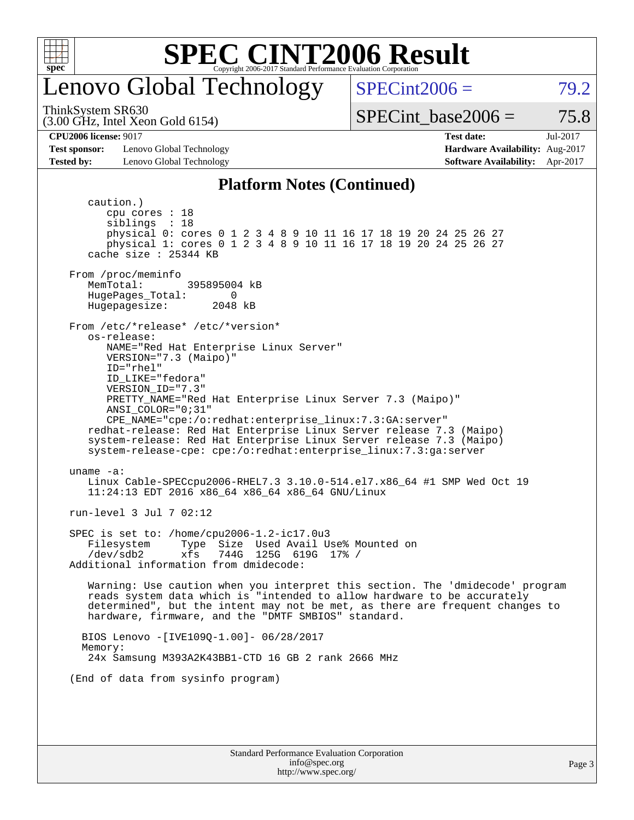

### enovo Global Technology

 $SPECint2006 = 79.2$  $SPECint2006 = 79.2$ 

(3.00 GHz, Intel Xeon Gold 6154) ThinkSystem SR630

SPECint base2006 =  $75.8$ 

**[CPU2006 license:](http://www.spec.org/auto/cpu2006/Docs/result-fields.html#CPU2006license)** 9017 **[Test date:](http://www.spec.org/auto/cpu2006/Docs/result-fields.html#Testdate)** Jul-2017

**[Test sponsor:](http://www.spec.org/auto/cpu2006/Docs/result-fields.html#Testsponsor)** Lenovo Global Technology **[Hardware Availability:](http://www.spec.org/auto/cpu2006/Docs/result-fields.html#HardwareAvailability)** Aug-2017

### **[Tested by:](http://www.spec.org/auto/cpu2006/Docs/result-fields.html#Testedby)** Lenovo Global Technology **[Software Availability:](http://www.spec.org/auto/cpu2006/Docs/result-fields.html#SoftwareAvailability)** Apr-2017

#### **[Platform Notes \(Continued\)](http://www.spec.org/auto/cpu2006/Docs/result-fields.html#PlatformNotes)**

Standard Performance Evaluation Corporation caution.) cpu cores : 18 siblings : 18 physical 0: cores 0 1 2 3 4 8 9 10 11 16 17 18 19 20 24 25 26 27 physical 1: cores 0 1 2 3 4 8 9 10 11 16 17 18 19 20 24 25 26 27 cache size : 25344 KB From /proc/meminfo MemTotal: 395895004 kB HugePages\_Total: 0<br>Hugepagesize: 2048 kB Hugepagesize: From /etc/\*release\* /etc/\*version\* os-release: NAME="Red Hat Enterprise Linux Server" VERSION="7.3 (Maipo)" ID="rhel" ID\_LIKE="fedora" VERSION\_ID="7.3" PRETTY\_NAME="Red Hat Enterprise Linux Server 7.3 (Maipo)" ANSI\_COLOR="0;31" CPE\_NAME="cpe:/o:redhat:enterprise\_linux:7.3:GA:server" redhat-release: Red Hat Enterprise Linux Server release 7.3 (Maipo) system-release: Red Hat Enterprise Linux Server release 7.3 (Maipo) system-release-cpe: cpe:/o:redhat:enterprise\_linux:7.3:ga:server uname -a: Linux Cable-SPECcpu2006-RHEL7.3 3.10.0-514.el7.x86\_64 #1 SMP Wed Oct 19 11:24:13 EDT 2016 x86\_64 x86\_64 x86\_64 GNU/Linux run-level 3 Jul 7 02:12 SPEC is set to: /home/cpu2006-1.2-ic17.0u3 Filesystem Type Size Used Avail Use% Mounted on /dev/sdb2 xfs 744G 125G 619G 17% / Additional information from dmidecode: Warning: Use caution when you interpret this section. The 'dmidecode' program reads system data which is "intended to allow hardware to be accurately determined", but the intent may not be met, as there are frequent changes to hardware, firmware, and the "DMTF SMBIOS" standard. BIOS Lenovo -[IVE109Q-1.00]- 06/28/2017 Memory: 24x Samsung M393A2K43BB1-CTD 16 GB 2 rank 2666 MHz (End of data from sysinfo program)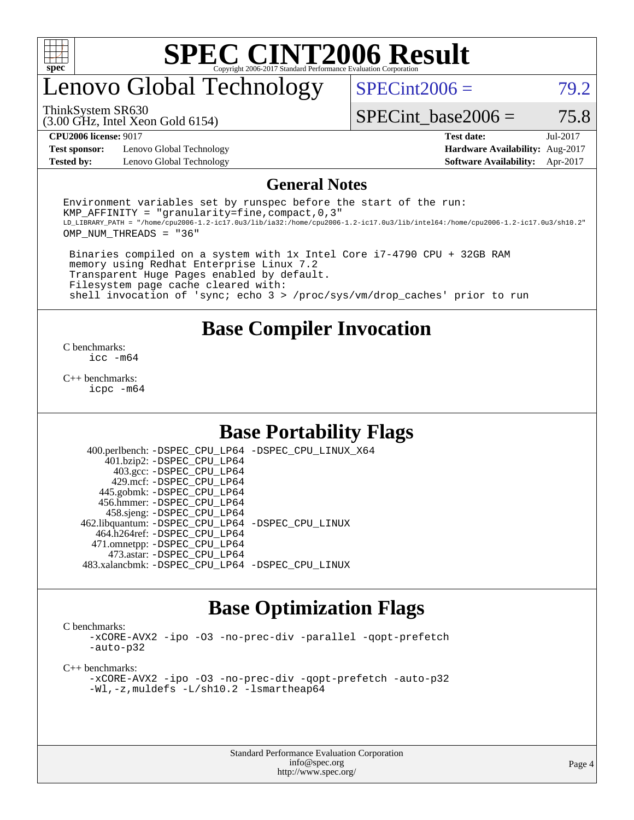

### enovo Global Technology

 $SPECint2006 = 79.2$  $SPECint2006 = 79.2$ 

(3.00 GHz, Intel Xeon Gold 6154) ThinkSystem SR630

SPECint base2006 =  $75.8$ 

**[Test sponsor:](http://www.spec.org/auto/cpu2006/Docs/result-fields.html#Testsponsor)** Lenovo Global Technology **[Hardware Availability:](http://www.spec.org/auto/cpu2006/Docs/result-fields.html#HardwareAvailability)** Aug-2017 **[Tested by:](http://www.spec.org/auto/cpu2006/Docs/result-fields.html#Testedby)** Lenovo Global Technology **[Software Availability:](http://www.spec.org/auto/cpu2006/Docs/result-fields.html#SoftwareAvailability)** Apr-2017

**[CPU2006 license:](http://www.spec.org/auto/cpu2006/Docs/result-fields.html#CPU2006license)** 9017 **[Test date:](http://www.spec.org/auto/cpu2006/Docs/result-fields.html#Testdate)** Jul-2017

#### **[General Notes](http://www.spec.org/auto/cpu2006/Docs/result-fields.html#GeneralNotes)**

Environment variables set by runspec before the start of the run: KMP AFFINITY = "granularity=fine, compact,  $0,3$ " LD\_LIBRARY\_PATH = "/home/cpu2006-1.2-ic17.0u3/lib/ia32:/home/cpu2006-1.2-ic17.0u3/lib/intel64:/home/cpu2006-1.2-ic17.0u3/sh10.2" OMP\_NUM\_THREADS = "36"

 Binaries compiled on a system with 1x Intel Core i7-4790 CPU + 32GB RAM memory using Redhat Enterprise Linux 7.2 Transparent Huge Pages enabled by default. Filesystem page cache cleared with: shell invocation of 'sync; echo 3 > /proc/sys/vm/drop\_caches' prior to run

#### **[Base Compiler Invocation](http://www.spec.org/auto/cpu2006/Docs/result-fields.html#BaseCompilerInvocation)**

[C benchmarks](http://www.spec.org/auto/cpu2006/Docs/result-fields.html#Cbenchmarks): [icc -m64](http://www.spec.org/cpu2006/results/res2017q4/cpu2006-20170918-49531.flags.html#user_CCbase_intel_icc_64bit_bda6cc9af1fdbb0edc3795bac97ada53)

[C++ benchmarks:](http://www.spec.org/auto/cpu2006/Docs/result-fields.html#CXXbenchmarks) [icpc -m64](http://www.spec.org/cpu2006/results/res2017q4/cpu2006-20170918-49531.flags.html#user_CXXbase_intel_icpc_64bit_fc66a5337ce925472a5c54ad6a0de310)

#### **[Base Portability Flags](http://www.spec.org/auto/cpu2006/Docs/result-fields.html#BasePortabilityFlags)**

 400.perlbench: [-DSPEC\\_CPU\\_LP64](http://www.spec.org/cpu2006/results/res2017q4/cpu2006-20170918-49531.flags.html#b400.perlbench_basePORTABILITY_DSPEC_CPU_LP64) [-DSPEC\\_CPU\\_LINUX\\_X64](http://www.spec.org/cpu2006/results/res2017q4/cpu2006-20170918-49531.flags.html#b400.perlbench_baseCPORTABILITY_DSPEC_CPU_LINUX_X64) 401.bzip2: [-DSPEC\\_CPU\\_LP64](http://www.spec.org/cpu2006/results/res2017q4/cpu2006-20170918-49531.flags.html#suite_basePORTABILITY401_bzip2_DSPEC_CPU_LP64) 403.gcc: [-DSPEC\\_CPU\\_LP64](http://www.spec.org/cpu2006/results/res2017q4/cpu2006-20170918-49531.flags.html#suite_basePORTABILITY403_gcc_DSPEC_CPU_LP64) 429.mcf: [-DSPEC\\_CPU\\_LP64](http://www.spec.org/cpu2006/results/res2017q4/cpu2006-20170918-49531.flags.html#suite_basePORTABILITY429_mcf_DSPEC_CPU_LP64) 445.gobmk: [-DSPEC\\_CPU\\_LP64](http://www.spec.org/cpu2006/results/res2017q4/cpu2006-20170918-49531.flags.html#suite_basePORTABILITY445_gobmk_DSPEC_CPU_LP64) 456.hmmer: [-DSPEC\\_CPU\\_LP64](http://www.spec.org/cpu2006/results/res2017q4/cpu2006-20170918-49531.flags.html#suite_basePORTABILITY456_hmmer_DSPEC_CPU_LP64) 458.sjeng: [-DSPEC\\_CPU\\_LP64](http://www.spec.org/cpu2006/results/res2017q4/cpu2006-20170918-49531.flags.html#suite_basePORTABILITY458_sjeng_DSPEC_CPU_LP64) 462.libquantum: [-DSPEC\\_CPU\\_LP64](http://www.spec.org/cpu2006/results/res2017q4/cpu2006-20170918-49531.flags.html#suite_basePORTABILITY462_libquantum_DSPEC_CPU_LP64) [-DSPEC\\_CPU\\_LINUX](http://www.spec.org/cpu2006/results/res2017q4/cpu2006-20170918-49531.flags.html#b462.libquantum_baseCPORTABILITY_DSPEC_CPU_LINUX) 464.h264ref: [-DSPEC\\_CPU\\_LP64](http://www.spec.org/cpu2006/results/res2017q4/cpu2006-20170918-49531.flags.html#suite_basePORTABILITY464_h264ref_DSPEC_CPU_LP64) 471.omnetpp: [-DSPEC\\_CPU\\_LP64](http://www.spec.org/cpu2006/results/res2017q4/cpu2006-20170918-49531.flags.html#suite_basePORTABILITY471_omnetpp_DSPEC_CPU_LP64) 473.astar: [-DSPEC\\_CPU\\_LP64](http://www.spec.org/cpu2006/results/res2017q4/cpu2006-20170918-49531.flags.html#suite_basePORTABILITY473_astar_DSPEC_CPU_LP64) 483.xalancbmk: [-DSPEC\\_CPU\\_LP64](http://www.spec.org/cpu2006/results/res2017q4/cpu2006-20170918-49531.flags.html#suite_basePORTABILITY483_xalancbmk_DSPEC_CPU_LP64) [-DSPEC\\_CPU\\_LINUX](http://www.spec.org/cpu2006/results/res2017q4/cpu2006-20170918-49531.flags.html#b483.xalancbmk_baseCXXPORTABILITY_DSPEC_CPU_LINUX)

#### **[Base Optimization Flags](http://www.spec.org/auto/cpu2006/Docs/result-fields.html#BaseOptimizationFlags)**

[C benchmarks](http://www.spec.org/auto/cpu2006/Docs/result-fields.html#Cbenchmarks):

[-xCORE-AVX2](http://www.spec.org/cpu2006/results/res2017q4/cpu2006-20170918-49531.flags.html#user_CCbase_f-xCORE-AVX2) [-ipo](http://www.spec.org/cpu2006/results/res2017q4/cpu2006-20170918-49531.flags.html#user_CCbase_f-ipo) [-O3](http://www.spec.org/cpu2006/results/res2017q4/cpu2006-20170918-49531.flags.html#user_CCbase_f-O3) [-no-prec-div](http://www.spec.org/cpu2006/results/res2017q4/cpu2006-20170918-49531.flags.html#user_CCbase_f-no-prec-div) [-parallel](http://www.spec.org/cpu2006/results/res2017q4/cpu2006-20170918-49531.flags.html#user_CCbase_f-parallel) [-qopt-prefetch](http://www.spec.org/cpu2006/results/res2017q4/cpu2006-20170918-49531.flags.html#user_CCbase_f-qopt-prefetch) [-auto-p32](http://www.spec.org/cpu2006/results/res2017q4/cpu2006-20170918-49531.flags.html#user_CCbase_f-auto-p32)

[C++ benchmarks:](http://www.spec.org/auto/cpu2006/Docs/result-fields.html#CXXbenchmarks)

[-xCORE-AVX2](http://www.spec.org/cpu2006/results/res2017q4/cpu2006-20170918-49531.flags.html#user_CXXbase_f-xCORE-AVX2) [-ipo](http://www.spec.org/cpu2006/results/res2017q4/cpu2006-20170918-49531.flags.html#user_CXXbase_f-ipo) [-O3](http://www.spec.org/cpu2006/results/res2017q4/cpu2006-20170918-49531.flags.html#user_CXXbase_f-O3) [-no-prec-div](http://www.spec.org/cpu2006/results/res2017q4/cpu2006-20170918-49531.flags.html#user_CXXbase_f-no-prec-div) [-qopt-prefetch](http://www.spec.org/cpu2006/results/res2017q4/cpu2006-20170918-49531.flags.html#user_CXXbase_f-qopt-prefetch) [-auto-p32](http://www.spec.org/cpu2006/results/res2017q4/cpu2006-20170918-49531.flags.html#user_CXXbase_f-auto-p32) [-Wl,-z,muldefs](http://www.spec.org/cpu2006/results/res2017q4/cpu2006-20170918-49531.flags.html#user_CXXbase_link_force_multiple1_74079c344b956b9658436fd1b6dd3a8a) [-L/sh10.2 -lsmartheap64](http://www.spec.org/cpu2006/results/res2017q4/cpu2006-20170918-49531.flags.html#user_CXXbase_SmartHeap64_63911d860fc08c15fa1d5bf319b9d8d5)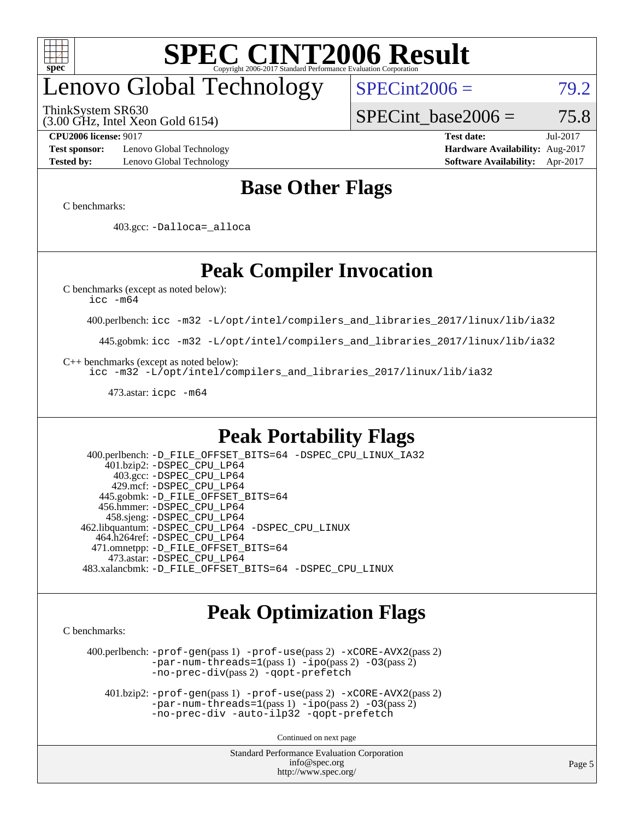

# enovo Global Technology

ThinkSystem SR630

 $SPECint2006 = 79.2$  $SPECint2006 = 79.2$ 

(3.00 GHz, Intel Xeon Gold 6154)

SPECint base2006 =  $75.8$ 

**[Test sponsor:](http://www.spec.org/auto/cpu2006/Docs/result-fields.html#Testsponsor)** Lenovo Global Technology **[Hardware Availability:](http://www.spec.org/auto/cpu2006/Docs/result-fields.html#HardwareAvailability)** Aug-2017 **[Tested by:](http://www.spec.org/auto/cpu2006/Docs/result-fields.html#Testedby)** Lenovo Global Technology **[Software Availability:](http://www.spec.org/auto/cpu2006/Docs/result-fields.html#SoftwareAvailability)** Apr-2017

**[CPU2006 license:](http://www.spec.org/auto/cpu2006/Docs/result-fields.html#CPU2006license)** 9017 **[Test date:](http://www.spec.org/auto/cpu2006/Docs/result-fields.html#Testdate)** Jul-2017

#### **[Base Other Flags](http://www.spec.org/auto/cpu2006/Docs/result-fields.html#BaseOtherFlags)**

[C benchmarks](http://www.spec.org/auto/cpu2006/Docs/result-fields.html#Cbenchmarks):

403.gcc: [-Dalloca=\\_alloca](http://www.spec.org/cpu2006/results/res2017q4/cpu2006-20170918-49531.flags.html#b403.gcc_baseEXTRA_CFLAGS_Dalloca_be3056838c12de2578596ca5467af7f3)

### **[Peak Compiler Invocation](http://www.spec.org/auto/cpu2006/Docs/result-fields.html#PeakCompilerInvocation)**

[C benchmarks \(except as noted below\)](http://www.spec.org/auto/cpu2006/Docs/result-fields.html#Cbenchmarksexceptasnotedbelow):

[icc -m64](http://www.spec.org/cpu2006/results/res2017q4/cpu2006-20170918-49531.flags.html#user_CCpeak_intel_icc_64bit_bda6cc9af1fdbb0edc3795bac97ada53)

400.perlbench: [icc -m32 -L/opt/intel/compilers\\_and\\_libraries\\_2017/linux/lib/ia32](http://www.spec.org/cpu2006/results/res2017q4/cpu2006-20170918-49531.flags.html#user_peakCCLD400_perlbench_intel_icc_c29f3ff5a7ed067b11e4ec10a03f03ae)

445.gobmk: [icc -m32 -L/opt/intel/compilers\\_and\\_libraries\\_2017/linux/lib/ia32](http://www.spec.org/cpu2006/results/res2017q4/cpu2006-20170918-49531.flags.html#user_peakCCLD445_gobmk_intel_icc_c29f3ff5a7ed067b11e4ec10a03f03ae)

[C++ benchmarks \(except as noted below\):](http://www.spec.org/auto/cpu2006/Docs/result-fields.html#CXXbenchmarksexceptasnotedbelow)

[icc -m32 -L/opt/intel/compilers\\_and\\_libraries\\_2017/linux/lib/ia32](http://www.spec.org/cpu2006/results/res2017q4/cpu2006-20170918-49531.flags.html#user_CXXpeak_intel_icc_c29f3ff5a7ed067b11e4ec10a03f03ae)

473.astar: [icpc -m64](http://www.spec.org/cpu2006/results/res2017q4/cpu2006-20170918-49531.flags.html#user_peakCXXLD473_astar_intel_icpc_64bit_fc66a5337ce925472a5c54ad6a0de310)

#### **[Peak Portability Flags](http://www.spec.org/auto/cpu2006/Docs/result-fields.html#PeakPortabilityFlags)**

 400.perlbench: [-D\\_FILE\\_OFFSET\\_BITS=64](http://www.spec.org/cpu2006/results/res2017q4/cpu2006-20170918-49531.flags.html#user_peakPORTABILITY400_perlbench_file_offset_bits_64_438cf9856305ebd76870a2c6dc2689ab) [-DSPEC\\_CPU\\_LINUX\\_IA32](http://www.spec.org/cpu2006/results/res2017q4/cpu2006-20170918-49531.flags.html#b400.perlbench_peakCPORTABILITY_DSPEC_CPU_LINUX_IA32) 401.bzip2: [-DSPEC\\_CPU\\_LP64](http://www.spec.org/cpu2006/results/res2017q4/cpu2006-20170918-49531.flags.html#suite_peakPORTABILITY401_bzip2_DSPEC_CPU_LP64) 403.gcc: [-DSPEC\\_CPU\\_LP64](http://www.spec.org/cpu2006/results/res2017q4/cpu2006-20170918-49531.flags.html#suite_peakPORTABILITY403_gcc_DSPEC_CPU_LP64) 429.mcf: [-DSPEC\\_CPU\\_LP64](http://www.spec.org/cpu2006/results/res2017q4/cpu2006-20170918-49531.flags.html#suite_peakPORTABILITY429_mcf_DSPEC_CPU_LP64) 445.gobmk: [-D\\_FILE\\_OFFSET\\_BITS=64](http://www.spec.org/cpu2006/results/res2017q4/cpu2006-20170918-49531.flags.html#user_peakPORTABILITY445_gobmk_file_offset_bits_64_438cf9856305ebd76870a2c6dc2689ab) 456.hmmer: [-DSPEC\\_CPU\\_LP64](http://www.spec.org/cpu2006/results/res2017q4/cpu2006-20170918-49531.flags.html#suite_peakPORTABILITY456_hmmer_DSPEC_CPU_LP64) 458.sjeng: [-DSPEC\\_CPU\\_LP64](http://www.spec.org/cpu2006/results/res2017q4/cpu2006-20170918-49531.flags.html#suite_peakPORTABILITY458_sjeng_DSPEC_CPU_LP64) 462.libquantum: [-DSPEC\\_CPU\\_LP64](http://www.spec.org/cpu2006/results/res2017q4/cpu2006-20170918-49531.flags.html#suite_peakPORTABILITY462_libquantum_DSPEC_CPU_LP64) [-DSPEC\\_CPU\\_LINUX](http://www.spec.org/cpu2006/results/res2017q4/cpu2006-20170918-49531.flags.html#b462.libquantum_peakCPORTABILITY_DSPEC_CPU_LINUX) 464.h264ref: [-DSPEC\\_CPU\\_LP64](http://www.spec.org/cpu2006/results/res2017q4/cpu2006-20170918-49531.flags.html#suite_peakPORTABILITY464_h264ref_DSPEC_CPU_LP64) 471.omnetpp: [-D\\_FILE\\_OFFSET\\_BITS=64](http://www.spec.org/cpu2006/results/res2017q4/cpu2006-20170918-49531.flags.html#user_peakPORTABILITY471_omnetpp_file_offset_bits_64_438cf9856305ebd76870a2c6dc2689ab) 473.astar: [-DSPEC\\_CPU\\_LP64](http://www.spec.org/cpu2006/results/res2017q4/cpu2006-20170918-49531.flags.html#suite_peakPORTABILITY473_astar_DSPEC_CPU_LP64) 483.xalancbmk: [-D\\_FILE\\_OFFSET\\_BITS=64](http://www.spec.org/cpu2006/results/res2017q4/cpu2006-20170918-49531.flags.html#user_peakPORTABILITY483_xalancbmk_file_offset_bits_64_438cf9856305ebd76870a2c6dc2689ab) [-DSPEC\\_CPU\\_LINUX](http://www.spec.org/cpu2006/results/res2017q4/cpu2006-20170918-49531.flags.html#b483.xalancbmk_peakCXXPORTABILITY_DSPEC_CPU_LINUX)

#### **[Peak Optimization Flags](http://www.spec.org/auto/cpu2006/Docs/result-fields.html#PeakOptimizationFlags)**

[C benchmarks](http://www.spec.org/auto/cpu2006/Docs/result-fields.html#Cbenchmarks):

 400.perlbench: [-prof-gen](http://www.spec.org/cpu2006/results/res2017q4/cpu2006-20170918-49531.flags.html#user_peakPASS1_CFLAGSPASS1_LDCFLAGS400_perlbench_prof_gen_e43856698f6ca7b7e442dfd80e94a8fc)(pass 1) [-prof-use](http://www.spec.org/cpu2006/results/res2017q4/cpu2006-20170918-49531.flags.html#user_peakPASS2_CFLAGSPASS2_LDCFLAGS400_perlbench_prof_use_bccf7792157ff70d64e32fe3e1250b55)(pass 2) [-xCORE-AVX2](http://www.spec.org/cpu2006/results/res2017q4/cpu2006-20170918-49531.flags.html#user_peakPASS2_CFLAGSPASS2_LDCFLAGS400_perlbench_f-xCORE-AVX2)(pass 2) [-par-num-threads=1](http://www.spec.org/cpu2006/results/res2017q4/cpu2006-20170918-49531.flags.html#user_peakPASS1_CFLAGSPASS1_LDCFLAGS400_perlbench_par_num_threads_786a6ff141b4e9e90432e998842df6c2)(pass 1) [-ipo](http://www.spec.org/cpu2006/results/res2017q4/cpu2006-20170918-49531.flags.html#user_peakPASS2_CFLAGSPASS2_LDCFLAGS400_perlbench_f-ipo)(pass 2) [-O3](http://www.spec.org/cpu2006/results/res2017q4/cpu2006-20170918-49531.flags.html#user_peakPASS2_CFLAGSPASS2_LDCFLAGS400_perlbench_f-O3)(pass 2) [-no-prec-div](http://www.spec.org/cpu2006/results/res2017q4/cpu2006-20170918-49531.flags.html#user_peakPASS2_CFLAGSPASS2_LDCFLAGS400_perlbench_f-no-prec-div)(pass 2) [-qopt-prefetch](http://www.spec.org/cpu2006/results/res2017q4/cpu2006-20170918-49531.flags.html#user_peakCOPTIMIZE400_perlbench_f-qopt-prefetch)

 401.bzip2: [-prof-gen](http://www.spec.org/cpu2006/results/res2017q4/cpu2006-20170918-49531.flags.html#user_peakPASS1_CFLAGSPASS1_LDCFLAGS401_bzip2_prof_gen_e43856698f6ca7b7e442dfd80e94a8fc)(pass 1) [-prof-use](http://www.spec.org/cpu2006/results/res2017q4/cpu2006-20170918-49531.flags.html#user_peakPASS2_CFLAGSPASS2_LDCFLAGS401_bzip2_prof_use_bccf7792157ff70d64e32fe3e1250b55)(pass 2) [-xCORE-AVX2](http://www.spec.org/cpu2006/results/res2017q4/cpu2006-20170918-49531.flags.html#user_peakPASS2_CFLAGSPASS2_LDCFLAGS401_bzip2_f-xCORE-AVX2)(pass 2)  $-par-num-threads=1(pass 1) -ipo(pass 2) -O3(pass 2)$  $-par-num-threads=1(pass 1) -ipo(pass 2) -O3(pass 2)$  $-par-num-threads=1(pass 1) -ipo(pass 2) -O3(pass 2)$  $-par-num-threads=1(pass 1) -ipo(pass 2) -O3(pass 2)$  $-par-num-threads=1(pass 1) -ipo(pass 2) -O3(pass 2)$  $-par-num-threads=1(pass 1) -ipo(pass 2) -O3(pass 2)$ [-no-prec-div](http://www.spec.org/cpu2006/results/res2017q4/cpu2006-20170918-49531.flags.html#user_peakCOPTIMIZEPASS2_CFLAGSPASS2_LDCFLAGS401_bzip2_f-no-prec-div) [-auto-ilp32](http://www.spec.org/cpu2006/results/res2017q4/cpu2006-20170918-49531.flags.html#user_peakCOPTIMIZE401_bzip2_f-auto-ilp32) [-qopt-prefetch](http://www.spec.org/cpu2006/results/res2017q4/cpu2006-20170918-49531.flags.html#user_peakCOPTIMIZE401_bzip2_f-qopt-prefetch)

Continued on next page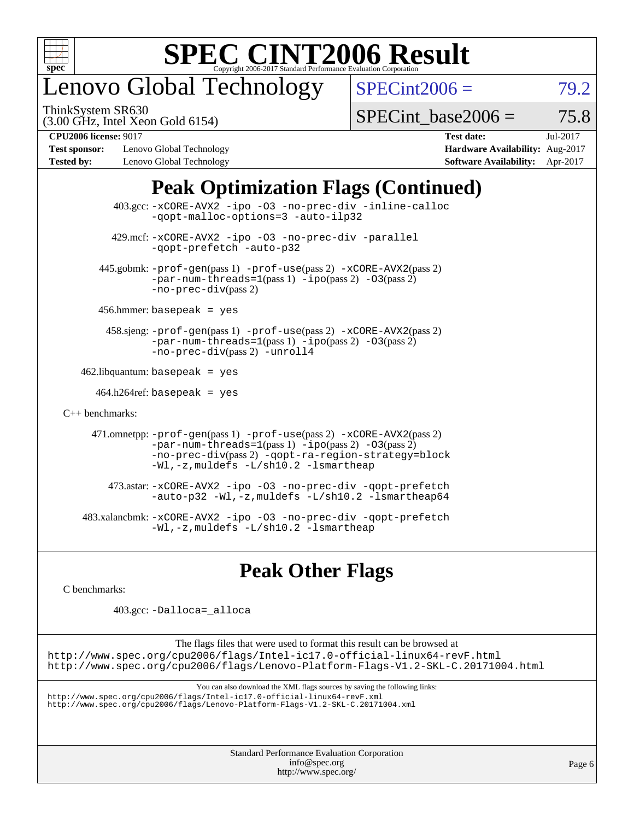

# enovo Global Technology

ThinkSystem SR630

 $SPECint2006 = 79.2$  $SPECint2006 = 79.2$ 

(3.00 GHz, Intel Xeon Gold 6154)

SPECint base2006 =  $75.8$ 

**[Test sponsor:](http://www.spec.org/auto/cpu2006/Docs/result-fields.html#Testsponsor)** Lenovo Global Technology **[Hardware Availability:](http://www.spec.org/auto/cpu2006/Docs/result-fields.html#HardwareAvailability)** Aug-2017 **[Tested by:](http://www.spec.org/auto/cpu2006/Docs/result-fields.html#Testedby)** Lenovo Global Technology **[Software Availability:](http://www.spec.org/auto/cpu2006/Docs/result-fields.html#SoftwareAvailability)** Apr-2017

**[CPU2006 license:](http://www.spec.org/auto/cpu2006/Docs/result-fields.html#CPU2006license)** 9017 **[Test date:](http://www.spec.org/auto/cpu2006/Docs/result-fields.html#Testdate)** Jul-2017

### **[Peak Optimization Flags \(Continued\)](http://www.spec.org/auto/cpu2006/Docs/result-fields.html#PeakOptimizationFlags)**

 403.gcc: [-xCORE-AVX2](http://www.spec.org/cpu2006/results/res2017q4/cpu2006-20170918-49531.flags.html#user_peakOPTIMIZE403_gcc_f-xCORE-AVX2) [-ipo](http://www.spec.org/cpu2006/results/res2017q4/cpu2006-20170918-49531.flags.html#user_peakOPTIMIZE403_gcc_f-ipo) [-O3](http://www.spec.org/cpu2006/results/res2017q4/cpu2006-20170918-49531.flags.html#user_peakOPTIMIZE403_gcc_f-O3) [-no-prec-div](http://www.spec.org/cpu2006/results/res2017q4/cpu2006-20170918-49531.flags.html#user_peakOPTIMIZE403_gcc_f-no-prec-div) [-inline-calloc](http://www.spec.org/cpu2006/results/res2017q4/cpu2006-20170918-49531.flags.html#user_peakCOPTIMIZE403_gcc_f-inline-calloc) [-qopt-malloc-options=3](http://www.spec.org/cpu2006/results/res2017q4/cpu2006-20170918-49531.flags.html#user_peakCOPTIMIZE403_gcc_f-qopt-malloc-options_0fcb435012e78f27d57f473818e45fe4) [-auto-ilp32](http://www.spec.org/cpu2006/results/res2017q4/cpu2006-20170918-49531.flags.html#user_peakCOPTIMIZE403_gcc_f-auto-ilp32) 429.mcf: [-xCORE-AVX2](http://www.spec.org/cpu2006/results/res2017q4/cpu2006-20170918-49531.flags.html#user_peakOPTIMIZE429_mcf_f-xCORE-AVX2) [-ipo](http://www.spec.org/cpu2006/results/res2017q4/cpu2006-20170918-49531.flags.html#user_peakOPTIMIZE429_mcf_f-ipo) [-O3](http://www.spec.org/cpu2006/results/res2017q4/cpu2006-20170918-49531.flags.html#user_peakOPTIMIZE429_mcf_f-O3) [-no-prec-div](http://www.spec.org/cpu2006/results/res2017q4/cpu2006-20170918-49531.flags.html#user_peakOPTIMIZE429_mcf_f-no-prec-div) [-parallel](http://www.spec.org/cpu2006/results/res2017q4/cpu2006-20170918-49531.flags.html#user_peakCOPTIMIZE429_mcf_f-parallel) [-qopt-prefetch](http://www.spec.org/cpu2006/results/res2017q4/cpu2006-20170918-49531.flags.html#user_peakCOPTIMIZE429_mcf_f-qopt-prefetch) [-auto-p32](http://www.spec.org/cpu2006/results/res2017q4/cpu2006-20170918-49531.flags.html#user_peakCOPTIMIZE429_mcf_f-auto-p32) 445.gobmk: [-prof-gen](http://www.spec.org/cpu2006/results/res2017q4/cpu2006-20170918-49531.flags.html#user_peakPASS1_CFLAGSPASS1_LDCFLAGS445_gobmk_prof_gen_e43856698f6ca7b7e442dfd80e94a8fc)(pass 1) [-prof-use](http://www.spec.org/cpu2006/results/res2017q4/cpu2006-20170918-49531.flags.html#user_peakPASS2_CFLAGSPASS2_LDCFLAGS445_gobmk_prof_use_bccf7792157ff70d64e32fe3e1250b55)(pass 2) [-xCORE-AVX2](http://www.spec.org/cpu2006/results/res2017q4/cpu2006-20170918-49531.flags.html#user_peakPASS2_CFLAGSPASS2_LDCFLAGS445_gobmk_f-xCORE-AVX2)(pass 2)  $-par-num-threads=1(pass 1) -ipo(pass 2) -O3(pass 2)$  $-par-num-threads=1(pass 1) -ipo(pass 2) -O3(pass 2)$  $-par-num-threads=1(pass 1) -ipo(pass 2) -O3(pass 2)$  $-par-num-threads=1(pass 1) -ipo(pass 2) -O3(pass 2)$  $-par-num-threads=1(pass 1) -ipo(pass 2) -O3(pass 2)$  $-par-num-threads=1(pass 1) -ipo(pass 2) -O3(pass 2)$ [-no-prec-div](http://www.spec.org/cpu2006/results/res2017q4/cpu2006-20170918-49531.flags.html#user_peakPASS2_CFLAGSPASS2_LDCFLAGS445_gobmk_f-no-prec-div)(pass 2) 456.hmmer: basepeak = yes 458.sjeng: [-prof-gen](http://www.spec.org/cpu2006/results/res2017q4/cpu2006-20170918-49531.flags.html#user_peakPASS1_CFLAGSPASS1_LDCFLAGS458_sjeng_prof_gen_e43856698f6ca7b7e442dfd80e94a8fc)(pass 1) [-prof-use](http://www.spec.org/cpu2006/results/res2017q4/cpu2006-20170918-49531.flags.html#user_peakPASS2_CFLAGSPASS2_LDCFLAGS458_sjeng_prof_use_bccf7792157ff70d64e32fe3e1250b55)(pass 2) [-xCORE-AVX2](http://www.spec.org/cpu2006/results/res2017q4/cpu2006-20170918-49531.flags.html#user_peakPASS2_CFLAGSPASS2_LDCFLAGS458_sjeng_f-xCORE-AVX2)(pass 2) [-par-num-threads=1](http://www.spec.org/cpu2006/results/res2017q4/cpu2006-20170918-49531.flags.html#user_peakPASS1_CFLAGSPASS1_LDCFLAGS458_sjeng_par_num_threads_786a6ff141b4e9e90432e998842df6c2)(pass 1) [-ipo](http://www.spec.org/cpu2006/results/res2017q4/cpu2006-20170918-49531.flags.html#user_peakPASS2_CFLAGSPASS2_LDCFLAGS458_sjeng_f-ipo)(pass 2) [-O3](http://www.spec.org/cpu2006/results/res2017q4/cpu2006-20170918-49531.flags.html#user_peakPASS2_CFLAGSPASS2_LDCFLAGS458_sjeng_f-O3)(pass 2) [-no-prec-div](http://www.spec.org/cpu2006/results/res2017q4/cpu2006-20170918-49531.flags.html#user_peakPASS2_CFLAGSPASS2_LDCFLAGS458_sjeng_f-no-prec-div)(pass 2) [-unroll4](http://www.spec.org/cpu2006/results/res2017q4/cpu2006-20170918-49531.flags.html#user_peakCOPTIMIZE458_sjeng_f-unroll_4e5e4ed65b7fd20bdcd365bec371b81f)  $462$ .libquantum: basepeak = yes  $464.h264$ ref: basepeak = yes [C++ benchmarks:](http://www.spec.org/auto/cpu2006/Docs/result-fields.html#CXXbenchmarks) 471.omnetpp: [-prof-gen](http://www.spec.org/cpu2006/results/res2017q4/cpu2006-20170918-49531.flags.html#user_peakPASS1_CXXFLAGSPASS1_LDCXXFLAGS471_omnetpp_prof_gen_e43856698f6ca7b7e442dfd80e94a8fc)(pass 1) [-prof-use](http://www.spec.org/cpu2006/results/res2017q4/cpu2006-20170918-49531.flags.html#user_peakPASS2_CXXFLAGSPASS2_LDCXXFLAGS471_omnetpp_prof_use_bccf7792157ff70d64e32fe3e1250b55)(pass 2) [-xCORE-AVX2](http://www.spec.org/cpu2006/results/res2017q4/cpu2006-20170918-49531.flags.html#user_peakPASS2_CXXFLAGSPASS2_LDCXXFLAGS471_omnetpp_f-xCORE-AVX2)(pass 2)  $-par-num-threads=1(pass 1) -ipo(pass 2) -O3(pass 2)$  $-par-num-threads=1(pass 1) -ipo(pass 2) -O3(pass 2)$  $-par-num-threads=1(pass 1) -ipo(pass 2) -O3(pass 2)$  $-par-num-threads=1(pass 1) -ipo(pass 2) -O3(pass 2)$  $-par-num-threads=1(pass 1) -ipo(pass 2) -O3(pass 2)$  $-par-num-threads=1(pass 1) -ipo(pass 2) -O3(pass 2)$ [-no-prec-div](http://www.spec.org/cpu2006/results/res2017q4/cpu2006-20170918-49531.flags.html#user_peakPASS2_CXXFLAGSPASS2_LDCXXFLAGS471_omnetpp_f-no-prec-div)(pass 2) [-qopt-ra-region-strategy=block](http://www.spec.org/cpu2006/results/res2017q4/cpu2006-20170918-49531.flags.html#user_peakCXXOPTIMIZE471_omnetpp_f-qopt-ra-region-strategy_0f7b543d62da454b380160c0e3b28f94) [-Wl,-z,muldefs](http://www.spec.org/cpu2006/results/res2017q4/cpu2006-20170918-49531.flags.html#user_peakEXTRA_LDFLAGS471_omnetpp_link_force_multiple1_74079c344b956b9658436fd1b6dd3a8a) [-L/sh10.2 -lsmartheap](http://www.spec.org/cpu2006/results/res2017q4/cpu2006-20170918-49531.flags.html#user_peakEXTRA_LIBS471_omnetpp_SmartHeap_b831f2d313e2fffa6dfe3f00ffc1f1c0) 473.astar: [-xCORE-AVX2](http://www.spec.org/cpu2006/results/res2017q4/cpu2006-20170918-49531.flags.html#user_peakOPTIMIZE473_astar_f-xCORE-AVX2) [-ipo](http://www.spec.org/cpu2006/results/res2017q4/cpu2006-20170918-49531.flags.html#user_peakOPTIMIZE473_astar_f-ipo) [-O3](http://www.spec.org/cpu2006/results/res2017q4/cpu2006-20170918-49531.flags.html#user_peakOPTIMIZE473_astar_f-O3) [-no-prec-div](http://www.spec.org/cpu2006/results/res2017q4/cpu2006-20170918-49531.flags.html#user_peakOPTIMIZE473_astar_f-no-prec-div) [-qopt-prefetch](http://www.spec.org/cpu2006/results/res2017q4/cpu2006-20170918-49531.flags.html#user_peakCXXOPTIMIZE473_astar_f-qopt-prefetch) [-auto-p32](http://www.spec.org/cpu2006/results/res2017q4/cpu2006-20170918-49531.flags.html#user_peakCXXOPTIMIZE473_astar_f-auto-p32) [-Wl,-z,muldefs](http://www.spec.org/cpu2006/results/res2017q4/cpu2006-20170918-49531.flags.html#user_peakEXTRA_LDFLAGS473_astar_link_force_multiple1_74079c344b956b9658436fd1b6dd3a8a) [-L/sh10.2 -lsmartheap64](http://www.spec.org/cpu2006/results/res2017q4/cpu2006-20170918-49531.flags.html#user_peakEXTRA_LIBS473_astar_SmartHeap64_63911d860fc08c15fa1d5bf319b9d8d5) 483.xalancbmk: [-xCORE-AVX2](http://www.spec.org/cpu2006/results/res2017q4/cpu2006-20170918-49531.flags.html#user_peakOPTIMIZE483_xalancbmk_f-xCORE-AVX2) [-ipo](http://www.spec.org/cpu2006/results/res2017q4/cpu2006-20170918-49531.flags.html#user_peakOPTIMIZE483_xalancbmk_f-ipo) [-O3](http://www.spec.org/cpu2006/results/res2017q4/cpu2006-20170918-49531.flags.html#user_peakOPTIMIZE483_xalancbmk_f-O3) [-no-prec-div](http://www.spec.org/cpu2006/results/res2017q4/cpu2006-20170918-49531.flags.html#user_peakOPTIMIZE483_xalancbmk_f-no-prec-div) [-qopt-prefetch](http://www.spec.org/cpu2006/results/res2017q4/cpu2006-20170918-49531.flags.html#user_peakCXXOPTIMIZE483_xalancbmk_f-qopt-prefetch) [-Wl,-z,muldefs](http://www.spec.org/cpu2006/results/res2017q4/cpu2006-20170918-49531.flags.html#user_peakEXTRA_LDFLAGS483_xalancbmk_link_force_multiple1_74079c344b956b9658436fd1b6dd3a8a) [-L/sh10.2 -lsmartheap](http://www.spec.org/cpu2006/results/res2017q4/cpu2006-20170918-49531.flags.html#user_peakEXTRA_LIBS483_xalancbmk_SmartHeap_b831f2d313e2fffa6dfe3f00ffc1f1c0)

### **[Peak Other Flags](http://www.spec.org/auto/cpu2006/Docs/result-fields.html#PeakOtherFlags)**

[C benchmarks](http://www.spec.org/auto/cpu2006/Docs/result-fields.html#Cbenchmarks):

403.gcc: [-Dalloca=\\_alloca](http://www.spec.org/cpu2006/results/res2017q4/cpu2006-20170918-49531.flags.html#b403.gcc_peakEXTRA_CFLAGS_Dalloca_be3056838c12de2578596ca5467af7f3)

The flags files that were used to format this result can be browsed at <http://www.spec.org/cpu2006/flags/Intel-ic17.0-official-linux64-revF.html> <http://www.spec.org/cpu2006/flags/Lenovo-Platform-Flags-V1.2-SKL-C.20171004.html>

You can also download the XML flags sources by saving the following links:

<http://www.spec.org/cpu2006/flags/Intel-ic17.0-official-linux64-revF.xml> <http://www.spec.org/cpu2006/flags/Lenovo-Platform-Flags-V1.2-SKL-C.20171004.xml>